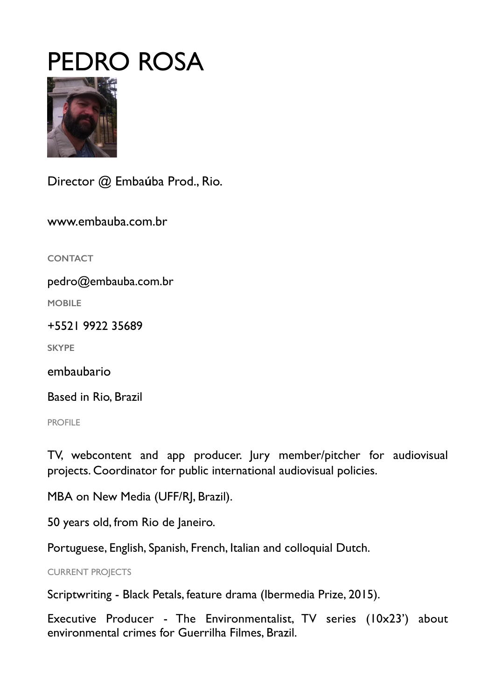## PEDRO ROSA



Director @ Emba**ú**ba Prod., Rio.

www.embauba.com.br

**CONTACT** 

pedro@embauba.com.br

**MOBILE** 

+5521 9922 35689

**SKYPE** 

embaubario

Based in Rio, Brazil

PROFILE

TV, webcontent and app producer. Jury member/pitcher for audiovisual projects. Coordinator for public international audiovisual policies.

MBA on New Media (UFF/RJ, Brazil).

50 years old, from Rio de Janeiro.

Portuguese, English, Spanish, French, Italian and colloquial Dutch.

CURRENT PROJECTS

Scriptwriting - Black Petals, feature drama (Ibermedia Prize, 2015).

Executive Producer - The Environmentalist, TV series (10x23') about environmental crimes for Guerrilha Filmes, Brazil.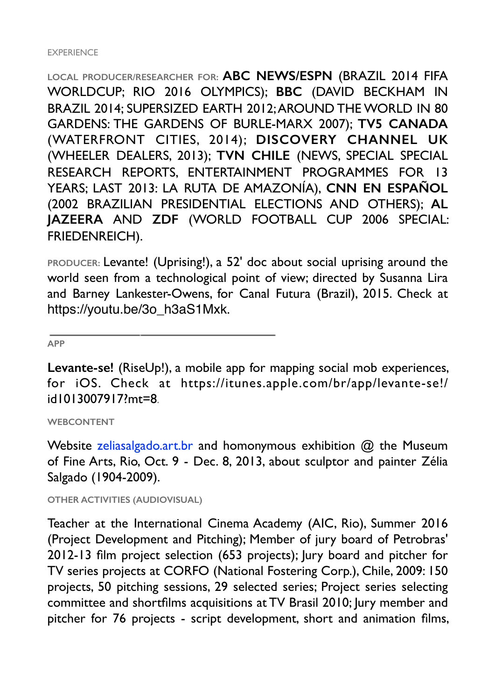## **EXPERIENCE**

**LOCAL PRODUCER/RESEARCHER FOR: ABC NEWS/ESPN** (BRAZIL 2014 FIFA WORLDCUP; RIO 2016 OLYMPICS); **BBC** (DAVID BECKHAM IN BRAZIL 2014; SUPERSIZED EARTH 2012; AROUND THE WORLD IN 80 GARDENS: THE GARDENS OF BURLE-MARX 2007); **TV5 CANADA**  (WATERFRONT CITIES, 2014); **DISCOVERY CHANNEL UK**  (WHEELER DEALERS, 2013); **TVN CHILE** (NEWS, SPECIAL SPECIAL RESEARCH REPORTS, ENTERTAINMENT PROGRAMMES FOR 13 YEARS; LAST 2013: LA RUTA DE AMAZONÍA), **CNN EN ESPAÑOL**  (2002 BRAZILIAN PRESIDENTIAL ELECTIONS AND OTHERS); **AL JAZEERA** AND **ZDF** (WORLD FOOTBALL CUP 2006 SPECIAL: FRIEDENREICH).

**PRODUCER:** Levante! (Uprising!), a 52' doc about social uprising around the world seen from a technological point of view; directed by Susanna Lira and Barney Lankester-Owens, for Canal Futura (Brazil), 2015. Check at https://youtu.be/3o\_h3aS1Mxk.

**APP** 

Levante-se! (RiseUp!), a mobile app for mapping social mob experiences, for iOS. Check at https://itunes.apple.com/br/app/levante-se!/ id1013007917?mt=8**.** 

**WEBCONTENT** 

Website zeliasalgado.art.br and homonymous exhibition  $\omega$  the Museum of Fine Arts, Rio, Oct. 9 - Dec. 8, 2013, about sculptor and painter Zélia Salgado (1904-2009).

**OTHER ACTIVITIES (AUDIOVISUAL)** 

Teacher at the International Cinema Academy (AIC, Rio), Summer 2016 (Project Development and Pitching); Member of jury board of Petrobras' 2012-13 film project selection (653 projects); Jury board and pitcher for TV series projects at CORFO (National Fostering Corp.), Chile, 2009: 150 projects, 50 pitching sessions, 29 selected series; Project series selecting committee and shortfilms acquisitions at TV Brasil 2010; Jury member and pitcher for 76 projects - script development, short and animation films,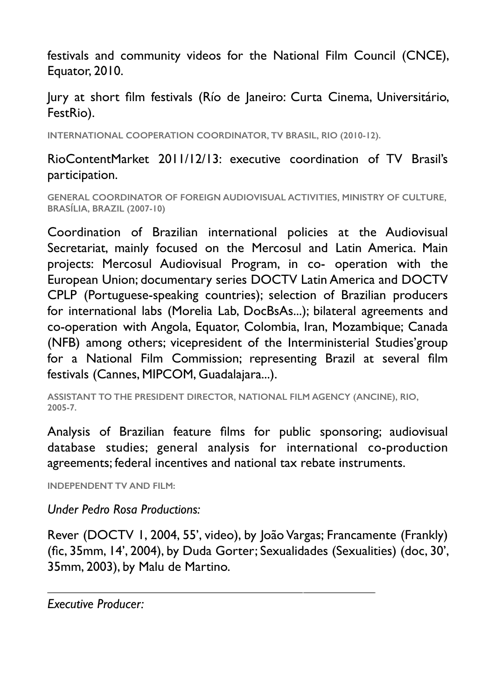festivals and community videos for the National Film Council (CNCE), Equator, 2010.

Jury at short film festivals (Río de Janeiro: Curta Cinema, Universitário, FestRio).

**INTERNATIONAL COOPERATION COORDINATOR, TV BRASIL, RIO (2010-12).** 

RioContentMarket 2011/12/13: executive coordination of TV Brasil's participation.

**GENERAL COORDINATOR OF FOREIGN AUDIOVISUAL ACTIVITIES, MINISTRY OF CULTURE, BRASÍLIA, BRAZIL (2007-10)** 

Coordination of Brazilian international policies at the Audiovisual Secretariat, mainly focused on the Mercosul and Latin America. Main projects: Mercosul Audiovisual Program, in co- operation with the European Union; documentary series DOCTV Latin America and DOCTV CPLP (Portuguese-speaking countries); selection of Brazilian producers for international labs (Morelia Lab, DocBsAs...); bilateral agreements and co-operation with Angola, Equator, Colombia, Iran, Mozambique; Canada (NFB) among others; vicepresident of the Interministerial Studies'group for a National Film Commission; representing Brazil at several film festivals (Cannes, MIPCOM, Guadalajara...).

**ASSISTANT TO THE PRESIDENT DIRECTOR, NATIONAL FILM AGENCY (ANCINE), RIO, 2005-7.** 

Analysis of Brazilian feature films for public sponsoring; audiovisual database studies; general analysis for international co-production agreements; federal incentives and national tax rebate instruments.

**INDEPENDENT TV AND FILM:** 

*Under Pedro Rosa Productions:* 

Rever (DOCTV 1, 2004, 55', video), by João Vargas; Francamente (Frankly) (fic, 35mm, 14', 2004), by Duda Gorter; Sexualidades (Sexualities) (doc, 30', 35mm, 2003), by Malu de Martino.

*Executive Producer:*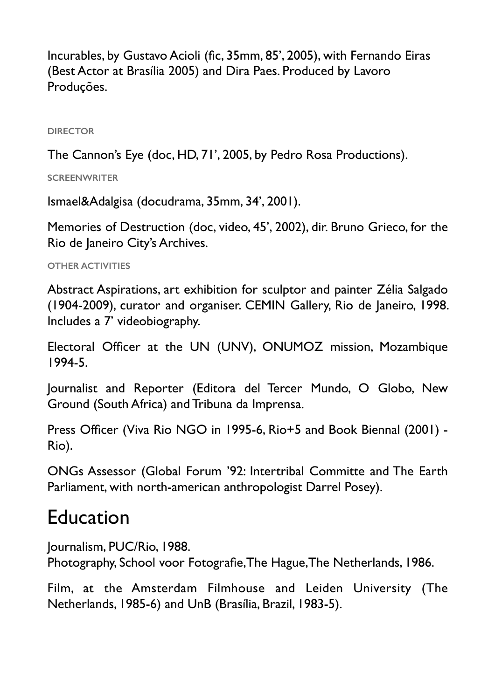Incurables, by Gustavo Acioli (fic, 35mm, 85', 2005), with Fernando Eiras (Best Actor at Brasília 2005) and Dira Paes. Produced by Lavoro Produções.

**DIRECTOR** 

The Cannon's Eye (doc, HD, 71', 2005, by Pedro Rosa Productions).

**SCREENWRITER** 

Ismael&Adalgisa (docudrama, 35mm, 34', 2001).

Memories of Destruction (doc, video, 45', 2002), dir. Bruno Grieco, for the Rio de Janeiro City's Archives.

**OTHER ACTIVITIES** 

Abstract Aspirations, art exhibition for sculptor and painter Zélia Salgado (1904-2009), curator and organiser. CEMIN Gallery, Rio de Janeiro, 1998. Includes a 7' videobiography.

Electoral Officer at the UN (UNV), ONUMOZ mission, Mozambique 1994-5.

Journalist and Reporter (Editora del Tercer Mundo, O Globo, New Ground (South Africa) and Tribuna da Imprensa.

Press Officer (Viva Rio NGO in 1995-6, Rio+5 and Book Biennal (2001) - Rio).

ONGs Assessor (Global Forum '92: Intertribal Committe and The Earth Parliament, with north-american anthropologist Darrel Posey).

## Education

Journalism, PUC/Rio, 1988. Photography, School voor Fotografie,The Hague,The Netherlands, 1986.

Film, at the Amsterdam Filmhouse and Leiden University (The Netherlands, 1985-6) and UnB (Brasília, Brazil, 1983-5).